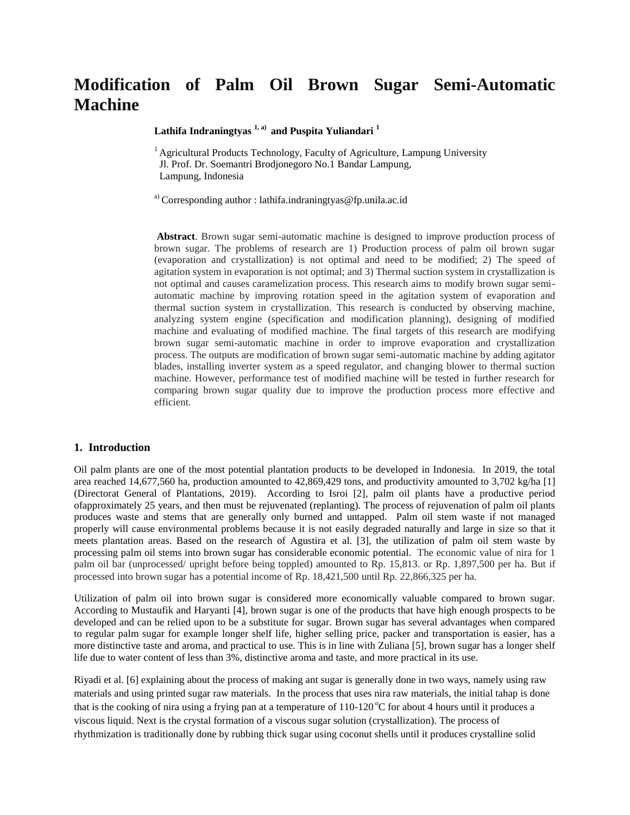# **Modification of Palm Oil Brown Sugar Semi-Automatic Machine**

**Lathifa Indraningtyas 1, a) and Puspita Yuliandari <sup>1</sup>**

<sup>1</sup> Agricultural Products Technology, Faculty of Agriculture, Lampung University Jl. Prof. Dr. Soemantri Brodjonegoro No.1 Bandar Lampung, Lampung, Indonesia

<sup>a)</sup> Corresponding author : lathifa.indraningtyas @fp.unila.ac.id

**Abstract**. Brown sugar semi-automatic machine is designed to improve production process of brown sugar. The problems of research are 1) Production process of palm oil brown sugar (evaporation and crystallization) is not optimal and need to be modified; 2) The speed of agitation system in evaporation is not optimal; and 3) Thermal suction system in crystallization is not optimal and causes caramelization process. This research aims to modify brown sugar semiautomatic machine by improving rotation speed in the agitation system of evaporation and thermal suction system in crystallization. This research is conducted by observing machine, analyzing system engine (specification and modification planning), designing of modified machine and evaluating of modified machine. The final targets of this research are modifying brown sugar semi-automatic machine in order to improve evaporation and crystallization process. The outputs are modification of brown sugar semi-automatic machine by adding agitator blades, installing inverter system as a speed regulator, and changing blower to thermal suction machine. However, performance test of modified machine will be tested in further research for comparing brown sugar quality due to improve the production process more effective and efficient.

## **1. Introduction**

Oil palm plants are one of the most potential plantation products to be developed in Indonesia. In 2019, the total area reached 14,677,560 ha, production amounted to 42,869,429 tons, and productivity amounted to 3,702 kg/ha [1] (Directorat General of Plantations, 2019). According to Isroi [2], palm oil plants have a productive period ofapproximately 25 years, and then must be rejuvenated (replanting)*.* The process of rejuvenation of palm oil plants produces waste and stems that are generally only burned and untapped. Palm oil stem waste if not managed properly will cause environmental problems because it is not easily degraded naturally and large in size so that it meets plantation areas. Based on the research of Agustira et al. [3], the utilization of palm oil stem waste by processing palm oil stems into brown sugar has considerable economic potential. The economic value of nira for 1 palm oil bar (unprocessed/ upright before being toppled) amounted to Rp. 15,813. or Rp. 1,897,500 per ha. But if processed into brown sugar has a potential income of Rp. 18,421,500 until Rp. 22,866,325 per ha.

Utilization of palm oil into brown sugar is considered more economically valuable compared to brown sugar. According to Mustaufik and Haryanti [4], brown sugar is one of the products that have high enough prospects to be developed and can be relied upon to be a substitute for sugar. Brown sugar has several advantages when compared to regular palm sugar for example longer shelf life, higher selling price, packer and transportation is easier, has a more distinctive taste and aroma, and practical to use. This is in line with Zuliana [5], brown sugar has a longer shelf life due to water content of less than 3%, distinctive aroma and taste, and more practical in its use.

Riyadi et al. [6] explaining about the process of making ant sugar is generally done in two ways, namely using raw materials and using printed sugar raw materials. In the process that uses nira raw materials, the initial tahap is done that is the cooking of nira using a frying pan at a temperature of  $110-120\degree C$  for about 4 hours until it produces a viscous liquid. Next is the crystal formation of a viscous sugar solution (crystallization). The process of rhythmization is traditionally done by rubbing thick sugar using coconut shells until it produces crystalline solid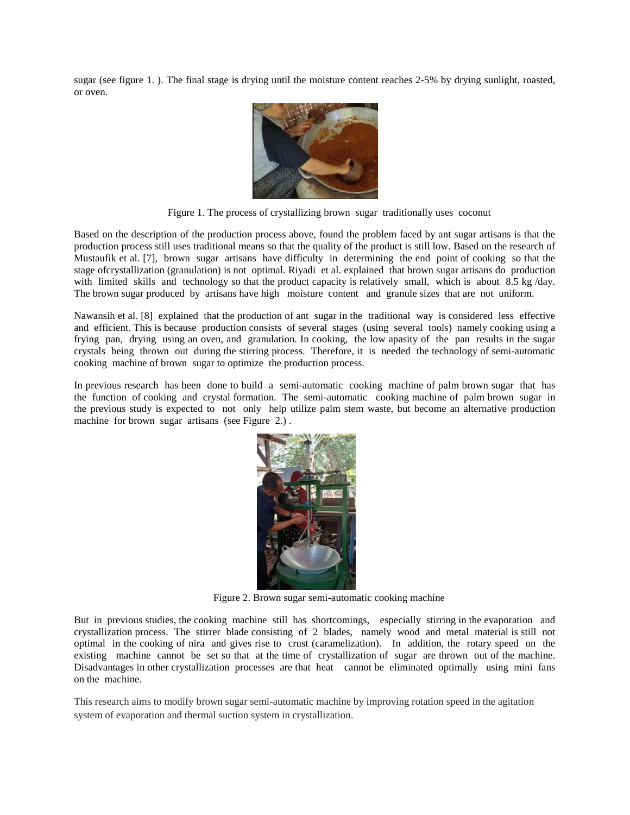sugar (see figure 1. ). The final stage is drying until the moisture content reaches 2-5% by drying sunlight, roasted, or oven.



Figure 1. The process of crystallizing brown sugar traditionally uses coconut

Based on the description of the production process above, found the problem faced by ant sugar artisans is that the production process still uses traditional means so that the quality of the product is still low. Based on the research of Mustaufik et al. [7], brown sugar artisans have difficulty in determining the end point of cooking so that the stage ofcrystallization (granulation) is not optimal. Riyadi et al. explained that brown sugar artisans do production with limited skills and technology so that the product capacity is relatively small, which is about 8.5 kg/day. The brown sugar produced by artisans have high moisture content and granule sizes that are not uniform.

Nawansih et al. [8] explained that the production of ant sugar in the traditional way is considered less effective and efficient. This is because production consists of several stages (using several tools) namely cooking using a frying pan, drying using an oven, and granulation. In cooking, the low apasity of the pan results in the sugar crystals being thrown out during the stirring process. Therefore, it is needed the technology of semi-automatic cooking machine of brown sugar to optimize the production process.

In previous research has been done to build a semi-automatic cooking machine of palm brown sugar that has the function of cooking and crystal formation. The semi-automatic cooking machine of palm brown sugar in the previous study is expected to not only help utilize palm stem waste, but become an alternative production machine for brown sugar artisans (see Figure 2.).



Figure 2. Brown sugar semi-automatic cooking machine

But in previous studies, the cooking machine still has shortcomings, especially stirring in the evaporation and crystallization process. The stirrer blade consisting of 2 blades, namely wood and metal material is still not optimal in the cooking of nira and gives rise to crust (caramelization). In addition, the rotary speed on the existing machine cannot be set so that at the time of crystallization of sugar are thrown out of the machine. Disadvantages in other crystallization processes are that heat cannot be eliminated optimally using mini fans on the machine.

This research aims to modify brown sugar semi-automatic machine by improving rotation speed in the agitation system of evaporation and thermal suction system in crystallization.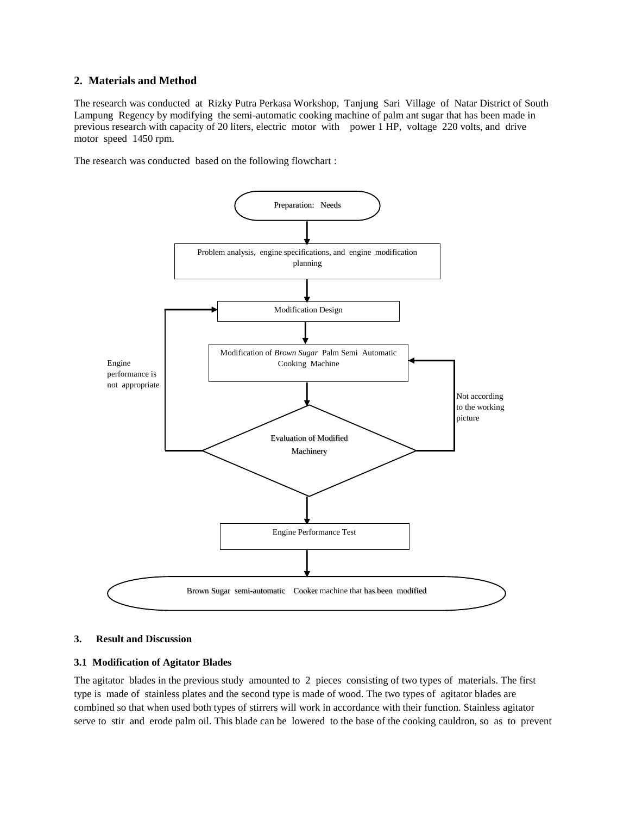# **2. Materials and Method**

The research was conducted at Rizky Putra Perkasa Workshop, Tanjung Sari Village of Natar District of South Lampung Regency by modifying the semi-automatic cooking machine of palm ant sugar that has been made in previous research with capacity of 20 liters, electric motor with power 1 HP, voltage 220 volts, and drive motor speed 1450 rpm.

The research was conducted based on the following flowchart :



## **3. Result and Discussion**

#### **3.1 Modification of Agitator Blades**

The agitator blades in the previous study amounted to 2 pieces consisting of two types of materials. The first type is made of stainless plates and the second type is made of wood. The two types of agitator blades are combined so that when used both types of stirrers will work in accordance with their function. Stainless agitator serve to stir and erode palm oil. This blade can be lowered to the base of the cooking cauldron, so as to prevent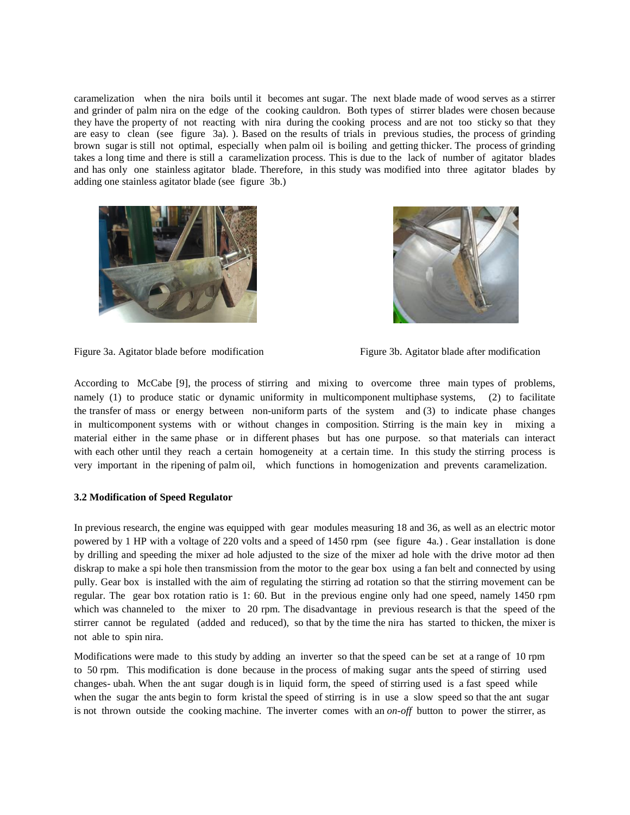caramelization when the nira boils until it becomes ant sugar. The next blade made of wood serves as a stirrer and grinder of palm nira on the edge of the cooking cauldron. Both types of stirrer blades were chosen because they have the property of not reacting with nira during the cooking process and are not too sticky so that they are easy to clean (see figure 3a). ). Based on the results of trials in previous studies, the process of grinding brown sugar is still not optimal, especially when palm oil is boiling and getting thicker. The process of grinding takes a long time and there is still a caramelization process. This is due to the lack of number of agitator blades and has only one stainless agitator blade. Therefore, in this study was modified into three agitator blades by adding one stainless agitator blade (see figure 3b.)





Figure 3a. Agitator blade before modification Figure 3b. Agitator blade after modification

According to McCabe [9], the process of stirring and mixing to overcome three main types of problems, namely (1) to produce static or dynamic uniformity in multicomponent multiphase systems, (2) to facilitate the transfer of mass or energy between non-uniform parts of the system and (3) to indicate phase changes in multicomponent systems with or without changes in composition. Stirring is the main key in mixing a material either in the same phase or in different phases but has one purpose. so that materials can interact with each other until they reach a certain homogeneity at a certain time. In this study the stirring process is very important in the ripening of palm oil, which functions in homogenization and prevents caramelization.

## **3.2 Modification of Speed Regulator**

In previous research, the engine was equipped with gear modules measuring 18 and 36, as well as an electric motor powered by 1 HP with a voltage of 220 volts and a speed of 1450 rpm (see figure 4a.) . Gear installation is done by drilling and speeding the mixer ad hole adjusted to the size of the mixer ad hole with the drive motor ad then diskrap to make a spi hole then transmission from the motor to the gear box using a fan belt and connected by using pully. Gear box is installed with the aim of regulating the stirring ad rotation so that the stirring movement can be regular. The gear box rotation ratio is 1: 60. But in the previous engine only had one speed, namely 1450 rpm which was channeled to the mixer to 20 rpm. The disadvantage in previous research is that the speed of the stirrer cannot be regulated (added and reduced), so that by the time the nira has started to thicken, the mixer is not able to spin nira.

Modifications were made to this study by adding an inverter so that the speed can be set at a range of 10 rpm to 50 rpm. This modification is done because in the process of making sugar ants the speed of stirring used changes- ubah. When the ant sugar dough is in liquid form, the speed of stirring used is a fast speed while when the sugar the ants begin to form kristal the speed of stirring is in use a slow speed so that the ant sugar is not thrown outside the cooking machine. The inverter comes with an *on-off* button to power the stirrer, as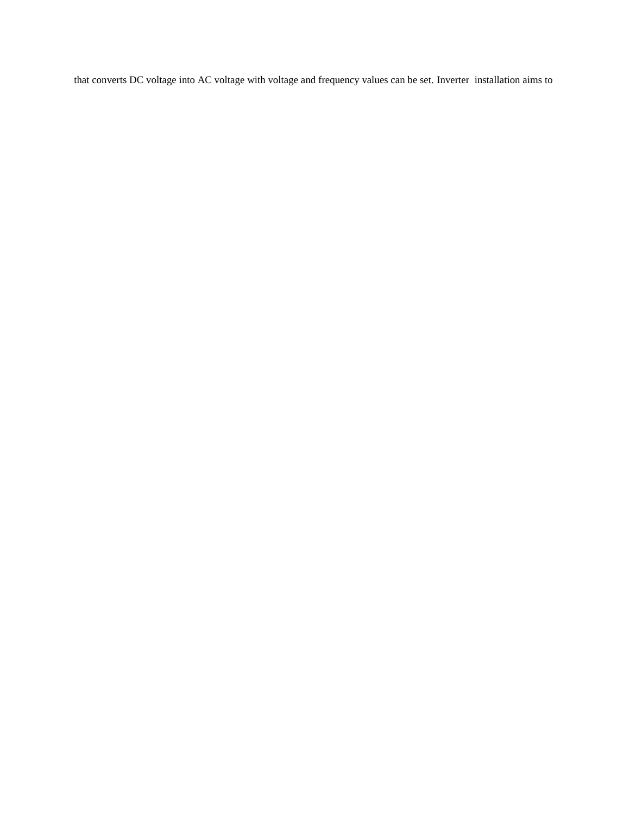that converts DC voltage into AC voltage with voltage and frequency values can be set. Inverter installation aims to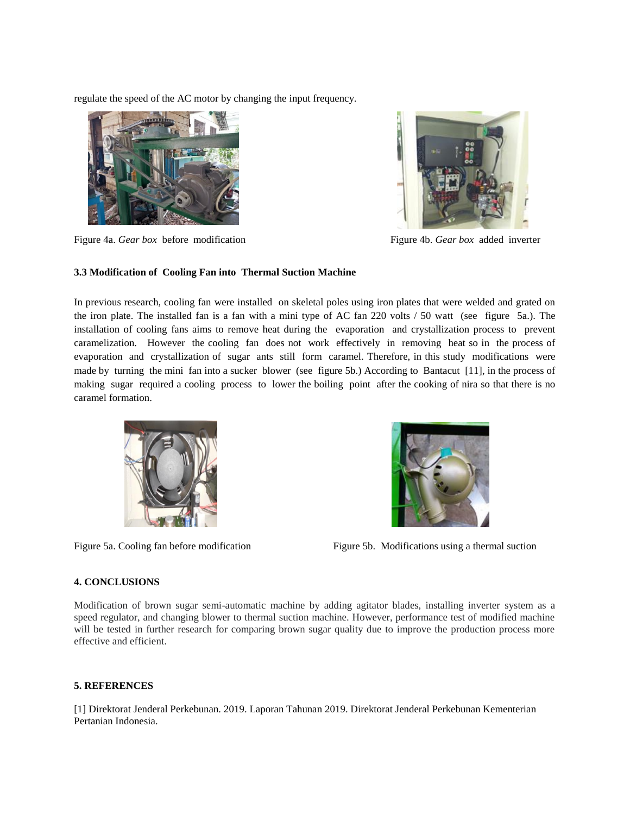regulate the speed of the AC motor by changing the input frequency.



Figure 4a. *Gear box* before modification Figure 4b. *Gear box* added inverter



# **3.3 Modification of Cooling Fan into Thermal Suction Machine**

In previous research, cooling fan were installed on skeletal poles using iron plates that were welded and grated on the iron plate. The installed fan is a fan with a mini type of AC fan 220 volts / 50 watt (see figure 5a.). The installation of cooling fans aims to remove heat during the evaporation and crystallization process to prevent caramelization. However the cooling fan does not work effectively in removing heat so in the process of evaporation and crystallization of sugar ants still form caramel. Therefore, in this study modifications were made by turning the mini fan into a sucker blower (see figure 5b.) According to Bantacut [11], in the process of making sugar required a cooling process to lower the boiling point after the cooking of nira so that there is no caramel formation.





Figure 5a. Cooling fan before modification Figure 5b. Modifications using a thermal suction

# **4. CONCLUSIONS**

Modification of brown sugar semi-automatic machine by adding agitator blades, installing inverter system as a speed regulator, and changing blower to thermal suction machine. However, performance test of modified machine will be tested in further research for comparing brown sugar quality due to improve the production process more effective and efficient.

# **5. REFERENCES**

[1] Direktorat Jenderal Perkebunan. 2019. Laporan Tahunan 2019. Direktorat Jenderal Perkebunan Kementerian Pertanian Indonesia.